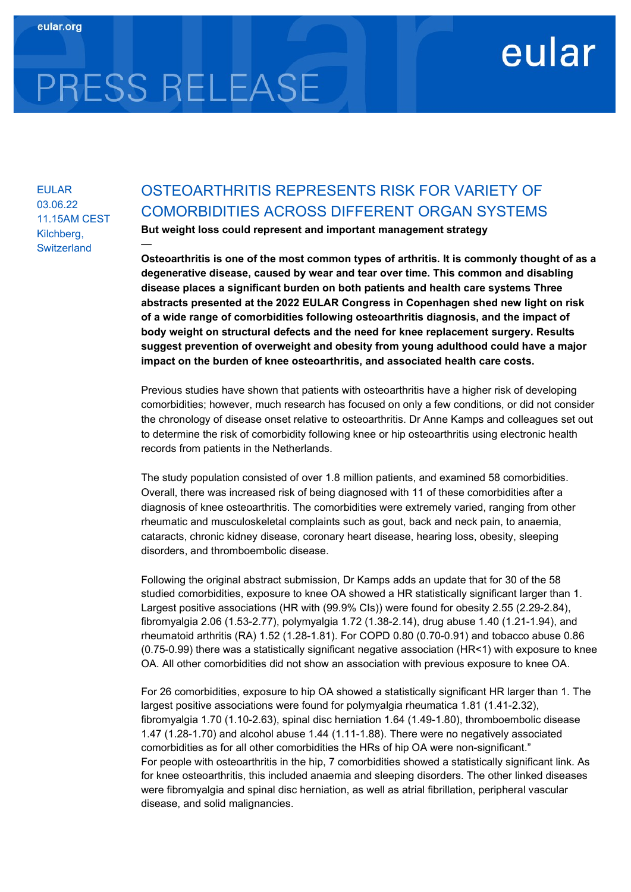## eular

# PRESS RELEASE

—

EULAR 03.06.22 11.15AM CEST Kilchberg, **Switzerland** 

### OSTEOARTHRITIS REPRESENTS RISK FOR VARIETY OF COMORBIDITIES ACROSS DIFFERENT ORGAN SYSTEMS

But weight loss could represent and important management strategy

Osteoarthritis is one of the most common types of arthritis. It is commonly thought of as a degenerative disease, caused by wear and tear over time. This common and disabling disease places a significant burden on both patients and health care systems Three abstracts presented at the 2022 EULAR Congress in Copenhagen shed new light on risk of a wide range of comorbidities following osteoarthritis diagnosis, and the impact of body weight on structural defects and the need for knee replacement surgery. Results suggest prevention of overweight and obesity from young adulthood could have a major impact on the burden of knee osteoarthritis, and associated health care costs.

Previous studies have shown that patients with osteoarthritis have a higher risk of developing comorbidities; however, much research has focused on only a few conditions, or did not consider the chronology of disease onset relative to osteoarthritis. Dr Anne Kamps and colleagues set out to determine the risk of comorbidity following knee or hip osteoarthritis using electronic health records from patients in the Netherlands.

The study population consisted of over 1.8 million patients, and examined 58 comorbidities. Overall, there was increased risk of being diagnosed with 11 of these comorbidities after a diagnosis of knee osteoarthritis. The comorbidities were extremely varied, ranging from other rheumatic and musculoskeletal complaints such as gout, back and neck pain, to anaemia, cataracts, chronic kidney disease, coronary heart disease, hearing loss, obesity, sleeping disorders, and thromboembolic disease.

Following the original abstract submission, Dr Kamps adds an update that for 30 of the 58 studied comorbidities, exposure to knee OA showed a HR statistically significant larger than 1. Largest positive associations (HR with (99.9% CIs)) were found for obesity 2.55 (2.29-2.84), fibromyalgia 2.06 (1.53-2.77), polymyalgia 1.72 (1.38-2.14), drug abuse 1.40 (1.21-1.94), and rheumatoid arthritis (RA) 1.52 (1.28-1.81). For COPD 0.80 (0.70-0.91) and tobacco abuse 0.86 (0.75-0.99) there was a statistically significant negative association (HR<1) with exposure to knee OA. All other comorbidities did not show an association with previous exposure to knee OA.

For 26 comorbidities, exposure to hip OA showed a statistically significant HR larger than 1. The largest positive associations were found for polymyalgia rheumatica 1.81 (1.41-2.32), fibromyalgia 1.70 (1.10-2.63), spinal disc herniation 1.64 (1.49-1.80), thromboembolic disease 1.47 (1.28-1.70) and alcohol abuse 1.44 (1.11-1.88). There were no negatively associated comorbidities as for all other comorbidities the HRs of hip OA were non-significant." For people with osteoarthritis in the hip, 7 comorbidities showed a statistically significant link. As for knee osteoarthritis, this included anaemia and sleeping disorders. The other linked diseases were fibromyalgia and spinal disc herniation, as well as atrial fibrillation, peripheral vascular disease, and solid malignancies.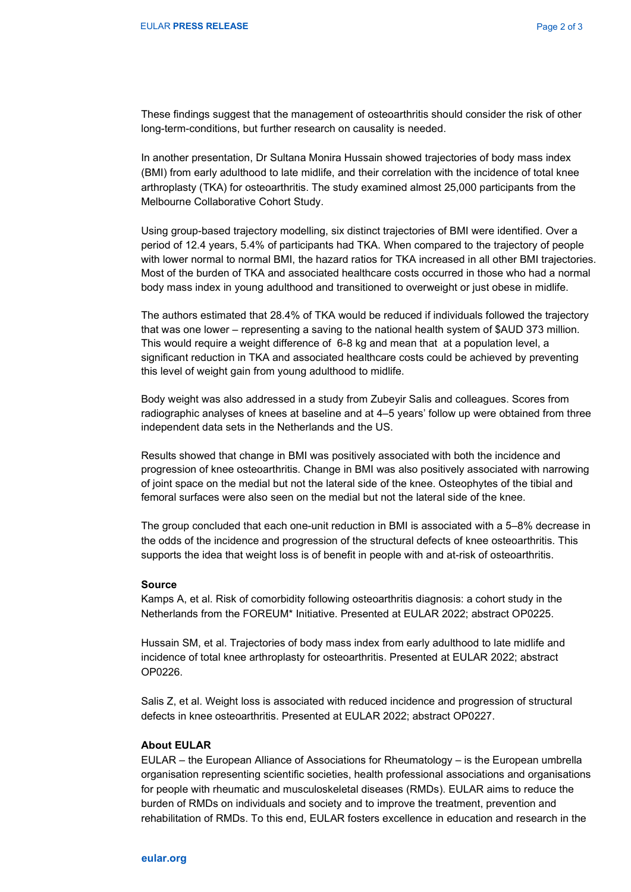These findings suggest that the management of osteoarthritis should consider the risk of other long-term-conditions, but further research on causality is needed.

In another presentation, Dr Sultana Monira Hussain showed trajectories of body mass index (BMI) from early adulthood to late midlife, and their correlation with the incidence of total knee arthroplasty (TKA) for osteoarthritis. The study examined almost 25,000 participants from the Melbourne Collaborative Cohort Study.

Using group-based trajectory modelling, six distinct trajectories of BMI were identified. Over a period of 12.4 years, 5.4% of participants had TKA. When compared to the trajectory of people with lower normal to normal BMI, the hazard ratios for TKA increased in all other BMI trajectories. Most of the burden of TKA and associated healthcare costs occurred in those who had a normal body mass index in young adulthood and transitioned to overweight or just obese in midlife.

The authors estimated that 28.4% of TKA would be reduced if individuals followed the trajectory that was one lower – representing a saving to the national health system of \$AUD 373 million. This would require a weight difference of 6-8 kg and mean that at a population level, a significant reduction in TKA and associated healthcare costs could be achieved by preventing this level of weight gain from young adulthood to midlife.

Body weight was also addressed in a study from Zubeyir Salis and colleagues. Scores from radiographic analyses of knees at baseline and at 4–5 years' follow up were obtained from three independent data sets in the Netherlands and the US.

Results showed that change in BMI was positively associated with both the incidence and progression of knee osteoarthritis. Change in BMI was also positively associated with narrowing of joint space on the medial but not the lateral side of the knee. Osteophytes of the tibial and femoral surfaces were also seen on the medial but not the lateral side of the knee.

The group concluded that each one-unit reduction in BMI is associated with a 5–8% decrease in the odds of the incidence and progression of the structural defects of knee osteoarthritis. This supports the idea that weight loss is of benefit in people with and at-risk of osteoarthritis.

#### Source

Kamps A, et al. Risk of comorbidity following osteoarthritis diagnosis: a cohort study in the Netherlands from the FOREUM\* Initiative. Presented at EULAR 2022; abstract OP0225.

Hussain SM, et al. Trajectories of body mass index from early adulthood to late midlife and incidence of total knee arthroplasty for osteoarthritis. Presented at EULAR 2022; abstract OP0226.

Salis Z, et al. Weight loss is associated with reduced incidence and progression of structural defects in knee osteoarthritis. Presented at EULAR 2022; abstract OP0227.

#### About EULAR

EULAR – the European Alliance of Associations for Rheumatology – is the European umbrella organisation representing scientific societies, health professional associations and organisations for people with rheumatic and musculoskeletal diseases (RMDs). EULAR aims to reduce the burden of RMDs on individuals and society and to improve the treatment, prevention and rehabilitation of RMDs. To this end, EULAR fosters excellence in education and research in the